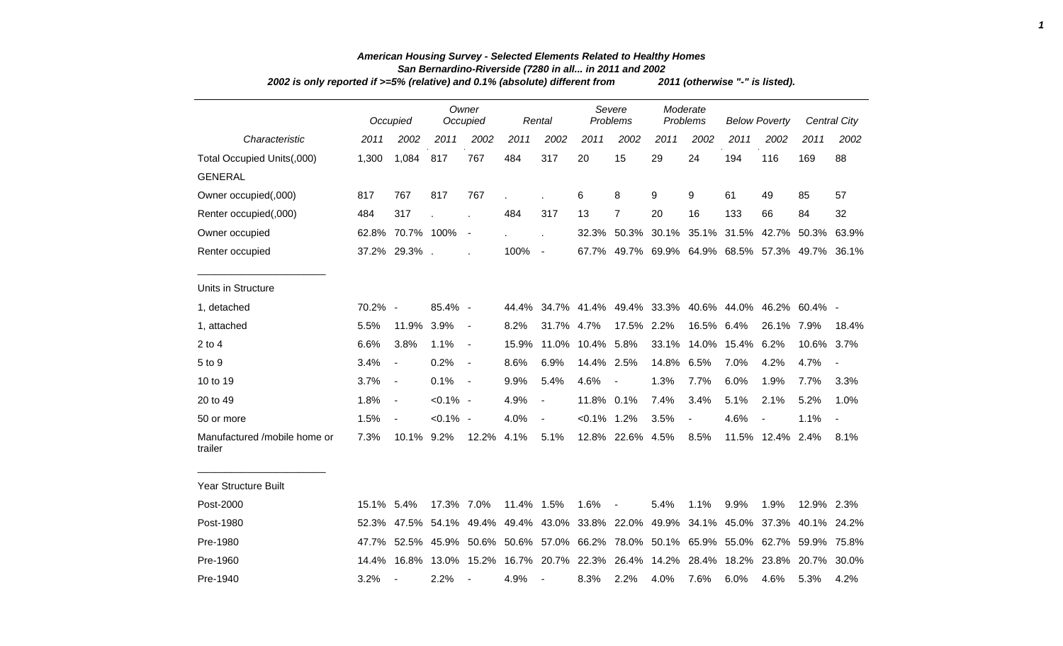| 2002 is only reported if >=5% (relative) and 0.1% (absolute) different from |            | 2011 (otherwise "-" is listed). |             |                          |                                                                                     |                          |                  |                                                   |       |                      |             |                                     |                   |                     |
|-----------------------------------------------------------------------------|------------|---------------------------------|-------------|--------------------------|-------------------------------------------------------------------------------------|--------------------------|------------------|---------------------------------------------------|-------|----------------------|-------------|-------------------------------------|-------------------|---------------------|
|                                                                             |            | Occupied                        |             | Owner<br>Occupied        |                                                                                     | Rental                   |                  | Severe<br>Problems                                |       | Moderate<br>Problems |             | <b>Below Poverty</b>                |                   | <b>Central City</b> |
| Characteristic                                                              | 2011       | 2002                            | 2011        | 2002                     | 2011                                                                                | 2002                     | 2011             | 2002                                              | 2011  | 2002                 | 2011        | 2002                                | 2011              | 2002                |
| Total Occupied Units(,000)                                                  | 1,300      | 1,084                           | 817         | 767                      | 484                                                                                 | 317                      | 20               | 15                                                | 29    | 24                   | 194         | 116                                 | 169               | 88                  |
| <b>GENERAL</b>                                                              |            |                                 |             |                          |                                                                                     |                          |                  |                                                   |       |                      |             |                                     |                   |                     |
| Owner occupied(,000)                                                        | 817        | 767                             | 817         | 767                      |                                                                                     |                          | 6                | 8                                                 | 9     | 9                    | 61          | 49                                  | 85                | 57                  |
| Renter occupied(,000)                                                       | 484        | 317                             |             |                          | 484                                                                                 | 317                      | 13               | 7                                                 | 20    | 16                   | 133         | 66                                  | 84                | 32                  |
| Owner occupied                                                              |            | 62.8% 70.7% 100%                |             | $\overline{\phantom{a}}$ |                                                                                     |                          |                  | 32.3% 50.3% 30.1% 35.1%                           |       |                      | 31.5%       | 42.7%                               | 50.3%             | 63.9%               |
| Renter occupied                                                             |            | 37.2% 29.3%.                    |             |                          | 100%                                                                                | $\overline{\phantom{a}}$ |                  | 67.7% 49.7%                                       |       |                      |             | 69.9% 64.9% 68.5% 57.3% 49.7% 36.1% |                   |                     |
| Units in Structure                                                          |            |                                 |             |                          |                                                                                     |                          |                  |                                                   |       |                      |             |                                     |                   |                     |
| 1, detached                                                                 | $70.2\%$ - |                                 | $85.4\%$ -  |                          | 44.4%                                                                               |                          |                  | 34.7% 41.4% 49.4% 33.3% 40.6% 44.0% 46.2% 60.4% - |       |                      |             |                                     |                   |                     |
| 1, attached                                                                 | 5.5%       | 11.9%                           | 3.9%        | $\blacksquare$           | 8.2%                                                                                | 31.7%                    | 4.7%             | 17.5%                                             | 2.2%  | 16.5% 6.4%           |             | 26.1% 7.9%                          |                   | 18.4%               |
| $2$ to $4$                                                                  | 6.6%       | 3.8%                            | 1.1%        | $\blacksquare$           | 15.9%                                                                               |                          | 11.0% 10.4% 5.8% |                                                   | 33.1% | 14.0%                | 15.4%       | 6.2%                                | 10.6% 3.7%        |                     |
| 5 to 9                                                                      | 3.4%       | $\overline{\phantom{a}}$        | 0.2%        | $\blacksquare$           | 8.6%                                                                                | 6.9%                     | 14.4% 2.5%       |                                                   | 14.8% | 6.5%                 | 7.0%        | 4.2%                                | 4.7%              |                     |
| 10 to 19                                                                    | 3.7%       | $\overline{\phantom{a}}$        | 0.1%        | $\sim$ $-$               | 9.9%                                                                                | 5.4%                     | 4.6%             | $\overline{\phantom{a}}$                          | 1.3%  | 7.7%                 | 6.0%        | 1.9%                                | 7.7%              | 3.3%                |
| 20 to 49                                                                    | 1.8%       | $\blacksquare$                  | $< 0.1\%$ - |                          | 4.9%                                                                                | $\blacksquare$           | 11.8% 0.1%       |                                                   | 7.4%  | 3.4%                 | 5.1%        | 2.1%                                | 5.2%              | 1.0%                |
| 50 or more                                                                  | 1.5%       | $\overline{\phantom{a}}$        | $< 0.1\%$ - |                          | 4.0%                                                                                | $\blacksquare$           | $< 0.1\%$ 1.2%   |                                                   | 3.5%  | $\blacksquare$       | 4.6%        | $\blacksquare$                      | 1.1%              | $\blacksquare$      |
| Manufactured /mobile home or<br>trailer                                     | 7.3%       | 10.1%                           | 9.2%        | 12.2%                    | 4.1%                                                                                | 5.1%                     |                  | 12.8% 22.6%                                       | 4.5%  | 8.5%                 |             | 11.5% 12.4% 2.4%                    |                   | 8.1%                |
| Year Structure Built                                                        |            |                                 |             |                          |                                                                                     |                          |                  |                                                   |       |                      |             |                                     |                   |                     |
| Post-2000                                                                   | 15.1% 5.4% |                                 | 17.3% 7.0%  |                          | 11.4% 1.5%                                                                          |                          | 1.6%             | $\overline{\phantom{a}}$                          | 5.4%  | 1.1%                 | 9.9%        | 1.9%                                | 12.9% 2.3%        |                     |
| Post-1980                                                                   |            | 52.3% 47.5% 54.1%               |             |                          | 49.4% 49.4% 43.0% 33.8% 22.0% 49.9%                                                 |                          |                  |                                                   |       |                      | 34.1% 45.0% |                                     | 37.3% 40.1% 24.2% |                     |
| Pre-1980                                                                    |            |                                 |             |                          | 47.7% 52.5% 45.9% 50.6% 50.6% 57.0% 66.2% 78.0% 50.1% 65.9% 55.0% 62.7% 59.9% 75.8% |                          |                  |                                                   |       |                      |             |                                     |                   |                     |

## *American Housing Survey - Selected Elements Related to Healthy Homes San Bernardino-Riverside (7280 in all... in 2011 and 2002*

*1*

Pre-1980 47.7% 52.5% 45.9% 50.6% 50.6% 57.0% 66.2% 78.0% 50.1% 65.9% 55.0% 62.7% 59.9% 75.8% Pre-1960 14.4% 16.8% 13.0% 15.2% 16.7% 20.7% 22.3% 26.4% 14.2% 28.4% 18.2% 23.8% 20.7% 30.0% Pre-1940 3.2% - 2.2% - 4.9% - 8.3% 2.2% 4.0% 7.6% 6.0% 4.6% 5.3% 4.2%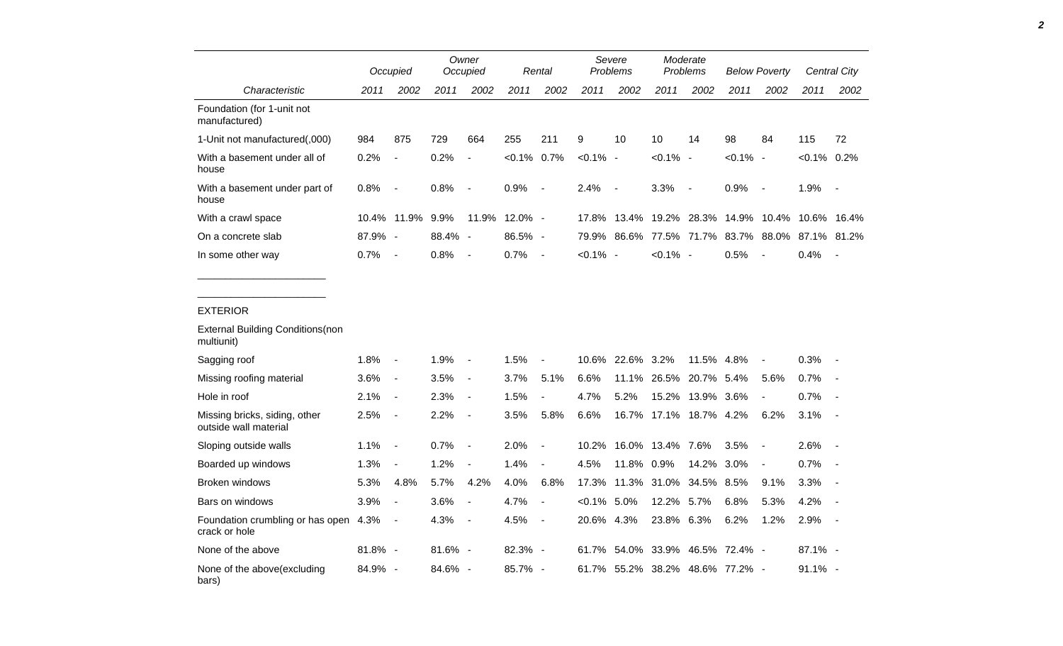|                                                             |            | Occupied         | Owner<br>Occupied |                |                | Rental                   |               | Severe<br><b>Problems</b> |             | Moderate<br>Problems            |             | <b>Below Poverty</b>                            |                | <b>Central City</b> |  |
|-------------------------------------------------------------|------------|------------------|-------------------|----------------|----------------|--------------------------|---------------|---------------------------|-------------|---------------------------------|-------------|-------------------------------------------------|----------------|---------------------|--|
| Characteristic                                              | 2011       | 2002             | 2011              | 2002           | 2011           | 2002                     | 2011          | 2002                      | 2011        | 2002                            | 2011        | 2002                                            | 2011           | 2002                |  |
| Foundation (for 1-unit not<br>manufactured)                 |            |                  |                   |                |                |                          |               |                           |             |                                 |             |                                                 |                |                     |  |
| 1-Unit not manufactured(,000)                               | 984        | 875              | 729               | 664            | 255            | 211                      | 9             | 10                        | 10          | 14                              | 98          | 84                                              | 115            | 72                  |  |
| With a basement under all of<br>house                       | 0.2%       | $\blacksquare$   | 0.2%              | $\blacksquare$ | $< 0.1\%$ 0.7% |                          | $< 0.1\%$ -   |                           | $< 0.1\%$ - |                                 | $< 0.1\%$ - |                                                 | $< 0.1\%$ 0.2% |                     |  |
| With a basement under part of<br>house                      | 0.8%       | $\sim$           | 0.8%              | $\sim$         | 0.9%           | $\overline{\phantom{a}}$ | 2.4%          | $\sim$                    | 3.3%        | $\sim$                          | 0.9%        | $\sim$                                          | 1.9%           | $\sim$ $-$          |  |
| With a crawl space                                          |            | 10.4% 11.9% 9.9% |                   |                | 11.9% 12.0% -  |                          |               |                           |             |                                 |             | 17.8% 13.4% 19.2% 28.3% 14.9% 10.4% 10.6% 16.4% |                |                     |  |
| On a concrete slab                                          | 87.9% -    |                  | 88.4% -           |                | $86.5\%$ -     |                          |               |                           |             |                                 |             | 79.9% 86.6% 77.5% 71.7% 83.7% 88.0% 87.1% 81.2% |                |                     |  |
| In some other way                                           | 0.7%       | $\sim$           | 0.8%              | $\sim$         | 0.7%           | $\sim$ $-$               | $< 0.1\%$ -   |                           | $< 0.1\%$ - |                                 | 0.5%        | $\sim$                                          | 0.4%           | $\sim$              |  |
| <b>EXTERIOR</b><br><b>External Building Conditions (non</b> |            |                  |                   |                |                |                          |               |                           |             |                                 |             |                                                 |                |                     |  |
| multiunit)                                                  |            |                  |                   |                |                |                          |               |                           |             |                                 |             |                                                 |                |                     |  |
| Sagging roof                                                | 1.8%       | $\sim$ $-$       | 1.9%              | $\sim$         | 1.5%           | $\overline{\phantom{a}}$ |               | 10.6% 22.6% 3.2%          |             | 11.5% 4.8%                      |             | $\blacksquare$                                  | 0.3%           | $\sim$              |  |
| Missing roofing material                                    | 3.6%       | $\sim$           | 3.5%              | $\sim$         | 3.7%           | 5.1%                     | 6.6%          |                           |             | 11.1% 26.5% 20.7% 5.4%          |             | 5.6%                                            | 0.7%           | $\sim$ $-$          |  |
| Hole in roof                                                | 2.1%       | $\sim$           | 2.3%              | $\sim$         | 1.5%           | $\overline{\phantom{a}}$ | 4.7%          | 5.2%                      |             | 15.2% 13.9% 3.6%                |             | $\blacksquare$                                  | 0.7%           | $\sim$              |  |
| Missing bricks, siding, other<br>outside wall material      | 2.5%       | $\sim$           | 2.2%              | $\sim$         | 3.5%           | 5.8%                     | 6.6%          |                           |             | 16.7% 17.1% 18.7% 4.2%          |             | 6.2%                                            | 3.1%           | $\sim$ $-$          |  |
| Sloping outside walls                                       | 1.1%       | $\sim$ $-$       | 0.7%              | $\sim$         | 2.0%           | $\overline{\phantom{a}}$ |               | 10.2% 16.0% 13.4% 7.6%    |             |                                 | 3.5%        | $\sim$                                          | 2.6%           | $\sim$              |  |
| Boarded up windows                                          | 1.3%       | $\blacksquare$   | 1.2%              | $\sim$         | 1.4%           | $\overline{\phantom{a}}$ | 4.5%          | 11.8% 0.9%                |             | 14.2% 3.0%                      |             | $\blacksquare$                                  | 0.7%           | $\sim$ $\sim$       |  |
| <b>Broken windows</b>                                       | 5.3%       | 4.8%             | 5.7%              | 4.2%           | 4.0%           | 6.8%                     |               |                           |             | 17.3% 11.3% 31.0% 34.5% 8.5%    |             | 9.1%                                            | $3.3\%$ -      |                     |  |
| Bars on windows                                             | 3.9%       | $\sim$           | 3.6%              | $\sim$         | 4.7%           | $\overline{\phantom{a}}$ | $<0.1\%$ 5.0% |                           | 12.2% 5.7%  |                                 | 6.8%        | 5.3%                                            | 4.2%           | $\sim$              |  |
| Foundation crumbling or has open 4.3%<br>crack or hole      |            | $\sim$ $-$       | 4.3%              | $\sim$         | 4.5%           | $\overline{\phantom{a}}$ | 20.6% 4.3%    |                           | 23.8% 6.3%  |                                 | 6.2%        | 1.2%                                            | 2.9%           | $\sim$ $-$          |  |
| None of the above                                           | $81.8\%$ - |                  | $81.6\%$ -        |                | 82.3% -        |                          |               |                           |             | 61.7% 54.0% 33.9% 46.5% 72.4% - |             |                                                 | 87.1% -        |                     |  |
| None of the above(excluding<br>bars)                        | 84.9% -    |                  | 84.6% -           |                | 85.7% -        |                          |               |                           |             | 61.7% 55.2% 38.2% 48.6% 77.2% - |             |                                                 | $91.1\%$ -     |                     |  |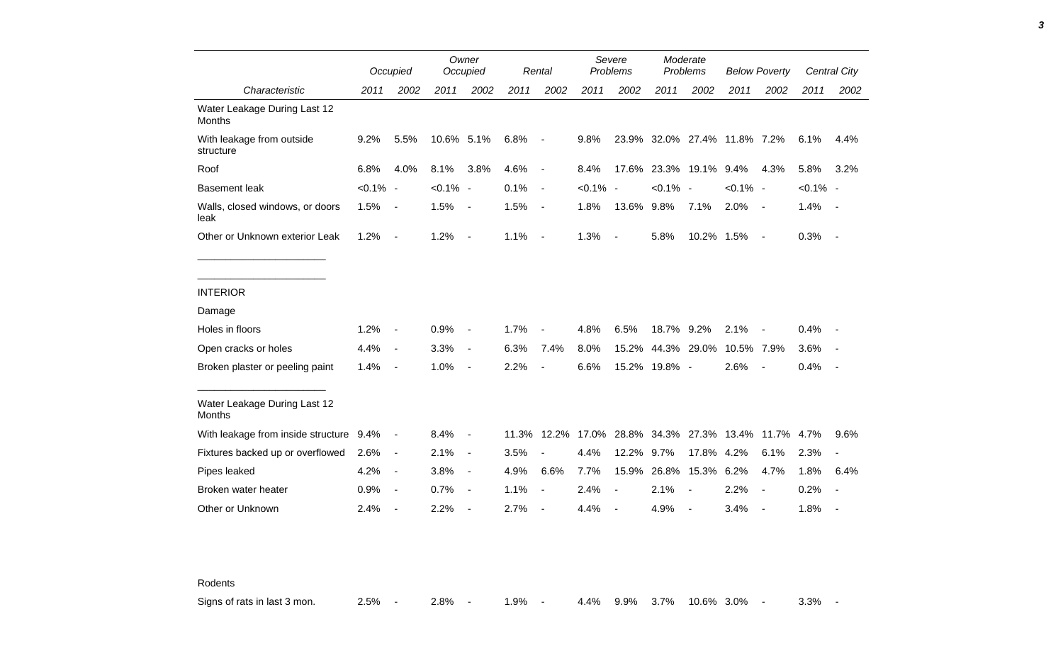|                                               |             | Occupied                     |             | Owner<br>Occupied        |       | Rental                   |             | Severe<br>Problems       |               | Moderate<br>Problems |                              | <b>Below Poverty</b> |             | <b>Central City</b> |
|-----------------------------------------------|-------------|------------------------------|-------------|--------------------------|-------|--------------------------|-------------|--------------------------|---------------|----------------------|------------------------------|----------------------|-------------|---------------------|
| Characteristic                                | 2011        | 2002                         | 2011        | 2002                     | 2011  | 2002                     | 2011        | 2002                     | 2011          | 2002                 | 2011                         | 2002                 | 2011        | 2002                |
| Water Leakage During Last 12<br><b>Months</b> |             |                              |             |                          |       |                          |             |                          |               |                      |                              |                      |             |                     |
| With leakage from outside<br>structure        | 9.2%        | 5.5%                         | 10.6% 5.1%  |                          | 6.8%  | $\overline{\phantom{a}}$ | 9.8%        |                          |               |                      | 23.9% 32.0% 27.4% 11.8% 7.2% |                      | 6.1%        | 4.4%                |
| Roof                                          | 6.8%        | 4.0%                         | 8.1%        | 3.8%                     | 4.6%  | $\blacksquare$           | 8.4%        | 17.6%                    |               | 23.3% 19.1%          | 9.4%                         | 4.3%                 | 5.8%        | 3.2%                |
| <b>Basement leak</b>                          | $< 0.1\%$ - |                              | $< 0.1\%$ - |                          | 0.1%  | $\sim$                   | $< 0.1\%$ - |                          | $< 0.1\%$ -   |                      | $< 0.1\%$ -                  |                      | $< 0.1\%$ - |                     |
| Walls, closed windows, or doors<br>leak       | 1.5%        | $\overline{\phantom{a}}$     | 1.5%        | $\blacksquare$           | 1.5%  | $\blacksquare$           | 1.8%        | 13.6% 9.8%               |               | 7.1%                 | 2.0%                         | $\sim$ $-$           | 1.4%        | $\sim$ $-$          |
| Other or Unknown exterior Leak                | 1.2%        | $\blacksquare$               | 1.2%        | $\blacksquare$           | 1.1%  | $\blacksquare$           | 1.3%        | $\overline{\phantom{a}}$ | 5.8%          | 10.2% 1.5%           |                              | $\sim$               | 0.3%        | $\sim$              |
|                                               |             |                              |             |                          |       |                          |             |                          |               |                      |                              |                      |             |                     |
| <b>INTERIOR</b>                               |             |                              |             |                          |       |                          |             |                          |               |                      |                              |                      |             |                     |
| Damage                                        |             |                              |             |                          |       |                          |             |                          |               |                      |                              |                      |             |                     |
| Holes in floors                               | 1.2%        | $\qquad \qquad \blacksquare$ | 0.9%        | $\overline{\phantom{a}}$ | 1.7%  |                          | 4.8%        | 6.5%                     | 18.7% 9.2%    |                      | 2.1%                         |                      | 0.4%        |                     |
| Open cracks or holes                          | 4.4%        | $\blacksquare$               | 3.3%        | $\blacksquare$           | 6.3%  | 7.4%                     | 8.0%        | 15.2%                    |               | 44.3% 29.0%          | 10.5% 7.9%                   |                      | 3.6%        |                     |
| Broken plaster or peeling paint               | 1.4%        | $\overline{\phantom{a}}$     | 1.0%        | $\overline{\phantom{a}}$ | 2.2%  |                          | 6.6%        |                          | 15.2% 19.8% - |                      | 2.6%                         | $\blacksquare$       | 0.4%        |                     |
| Water Leakage During Last 12<br><b>Months</b> |             |                              |             |                          |       |                          |             |                          |               |                      |                              |                      |             |                     |
| With leakage from inside structure 9.4%       |             | $\blacksquare$               | 8.4%        | $\blacksquare$           | 11.3% | 12.2%                    | 17.0%       | 28.8%                    |               |                      | 34.3% 27.3% 13.4% 11.7% 4.7% |                      |             | 9.6%                |
| Fixtures backed up or overflowed              | 2.6%        | $\blacksquare$               | 2.1%        | $\blacksquare$           | 3.5%  |                          | 4.4%        | 12.2%                    | 9.7%          | 17.8% 4.2%           |                              | 6.1%                 | 2.3%        |                     |
| Pipes leaked                                  | 4.2%        | $\blacksquare$               | 3.8%        | $\blacksquare$           | 4.9%  | 6.6%                     | 7.7%        | 15.9%                    | 26.8%         | 15.3% 6.2%           |                              | 4.7%                 | 1.8%        | 6.4%                |
| Broken water heater                           | 0.9%        | $\overline{\phantom{a}}$     | 0.7%        | $\blacksquare$           | 1.1%  |                          | 2.4%        |                          | 2.1%          | $\blacksquare$       | 2.2%                         | $\blacksquare$       | 0.2%        |                     |
| Other or Unknown                              | 2.4%        | $\overline{a}$               | 2.2%        |                          | 2.7%  |                          | 4.4%        |                          | 4.9%          | $\blacksquare$       | 3.4%                         |                      | 1.8%        |                     |

Rodents

Signs of rats in last 3 mon. 2.5% - 2.8% - 1.9% - 4.4% 9.9% 3.7% 10.6% 3.0% - 3.3% -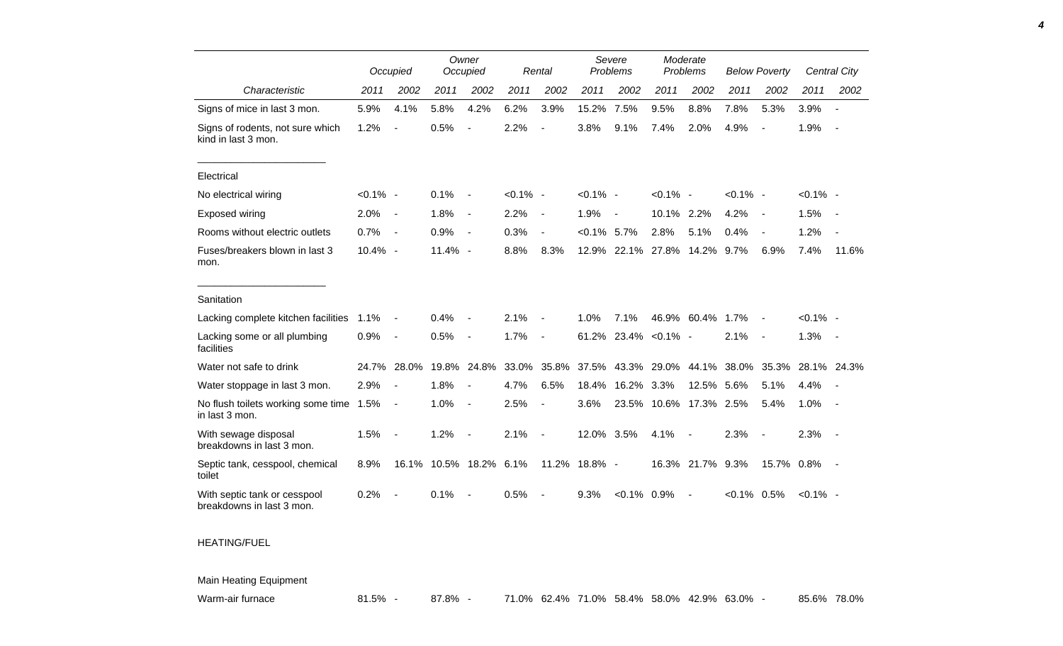|                                                           |             | Occupied                 |         | Owner<br>Occupied        |             | Rental                   |                | Severe<br>Problems       |                        | Moderate<br>Problems     |                | <b>Below Poverty</b>     |             | Central City             |
|-----------------------------------------------------------|-------------|--------------------------|---------|--------------------------|-------------|--------------------------|----------------|--------------------------|------------------------|--------------------------|----------------|--------------------------|-------------|--------------------------|
| Characteristic                                            | 2011        | 2002                     | 2011    | 2002                     | 2011        | 2002                     | 2011           | 2002                     | 2011                   | 2002                     | 2011           | 2002                     | 2011        | 2002                     |
| Signs of mice in last 3 mon.                              | 5.9%        | 4.1%                     | 5.8%    | 4.2%                     | 6.2%        | 3.9%                     | 15.2%          | 7.5%                     | 9.5%                   | 8.8%                     | 7.8%           | 5.3%                     | 3.9%        |                          |
| Signs of rodents, not sure which<br>kind in last 3 mon.   | 1.2%        |                          | 0.5%    | $\blacksquare$           | 2.2%        | $\blacksquare$           | 3.8%           | 9.1%                     | 7.4%                   | 2.0%                     | 4.9%           | $\overline{\phantom{a}}$ | 1.9%        | $\blacksquare$           |
| Electrical                                                |             |                          |         |                          |             |                          |                |                          |                        |                          |                |                          |             |                          |
| No electrical wiring                                      | $< 0.1\%$ - |                          | 0.1%    | $\blacksquare$           | $< 0.1\%$ - |                          | $< 0.1\%$ -    |                          | $< 0.1\%$ -            |                          | $< 0.1\%$ -    |                          | $< 0.1\%$ - |                          |
| Exposed wiring                                            | 2.0%        | $\overline{\phantom{a}}$ | 1.8%    | $\overline{\phantom{a}}$ | 2.2%        | $\overline{\phantom{a}}$ | 1.9%           | $\overline{\phantom{a}}$ | 10.1% 2.2%             |                          | 4.2%           | $\overline{\phantom{a}}$ | 1.5%        |                          |
| Rooms without electric outlets                            | 0.7%        | $\overline{\phantom{a}}$ | 0.9%    | $\overline{\phantom{a}}$ | 0.3%        | $\overline{\phantom{a}}$ | $< 0.1\%$ 5.7% |                          | 2.8%                   | 5.1%                     | 0.4%           | $\overline{\phantom{a}}$ | 1.2%        | $\overline{\phantom{a}}$ |
| Fuses/breakers blown in last 3<br>mon.                    | 10.4% -     |                          | 11.4% - |                          | 8.8%        | 8.3%                     |                | 12.9% 22.1% 27.8% 14.2%  |                        |                          | 9.7%           | 6.9%                     | 7.4%        | 11.6%                    |
| Sanitation                                                |             |                          |         |                          |             |                          |                |                          |                        |                          |                |                          |             |                          |
| Lacking complete kitchen facilities                       | 1.1%        |                          | 0.4%    |                          | 2.1%        | $\overline{a}$           | 1.0%           | 7.1%                     |                        | 46.9% 60.4%              | 1.7%           | $\overline{\phantom{a}}$ | $< 0.1\%$ - |                          |
| Lacking some or all plumbing<br>facilities                | 0.9%        | $\overline{\phantom{a}}$ | 0.5%    | $\blacksquare$           | 1.7%        | $\blacksquare$           |                | 61.2% 23.4% < 0.1% -     |                        |                          | 2.1%           | $\sim$                   | 1.3%        | $\sim$                   |
| Water not safe to drink                                   | 24.7%       | 28.0%                    | 19.8%   | 24.8%                    | 33.0%       | 35.8%                    | 37.5%          | 43.3%                    | 29.0%                  | 44.1%                    | 38.0%          | 35.3%                    |             | 28.1% 24.3%              |
| Water stoppage in last 3 mon.                             | 2.9%        | $\overline{\phantom{a}}$ | 1.8%    |                          | 4.7%        | 6.5%                     | 18.4%          | 16.2%                    | 3.3%                   | 12.5%                    | 5.6%           | 5.1%                     | 4.4%        |                          |
| No flush toilets working some time 1.5%<br>in last 3 mon. |             | $\blacksquare$           | 1.0%    | $\blacksquare$           | 2.5%        | $\blacksquare$           | 3.6%           |                          | 23.5% 10.6% 17.3% 2.5% |                          |                | 5.4%                     | 1.0%        |                          |
| With sewage disposal<br>breakdowns in last 3 mon.         | 1.5%        |                          | 1.2%    |                          | 2.1%        | $\overline{a}$           | 12.0% 3.5%     |                          | 4.1%                   | $\overline{\phantom{a}}$ | 2.3%           | $\overline{\phantom{a}}$ | 2.3%        | $\sim$                   |
| Septic tank, cesspool, chemical<br>toilet                 | 8.9%        | 16.1%                    | 10.5%   | 18.2%                    | 6.1%        | 11.2%                    | 18.8% -        |                          | 16.3%                  | 21.7%                    | 9.3%           | 15.7% 0.8%               |             |                          |
| With septic tank or cesspool<br>breakdowns in last 3 mon. | 0.2%        |                          | 0.1%    |                          | 0.5%        | $\blacksquare$           | 9.3%           | $< 0.1\%$ 0.9%           |                        | $\sim$                   | $< 0.1\%$ 0.5% |                          | $< 0.1\%$ - |                          |

## HEATING/FUEL

Main Heating Equipment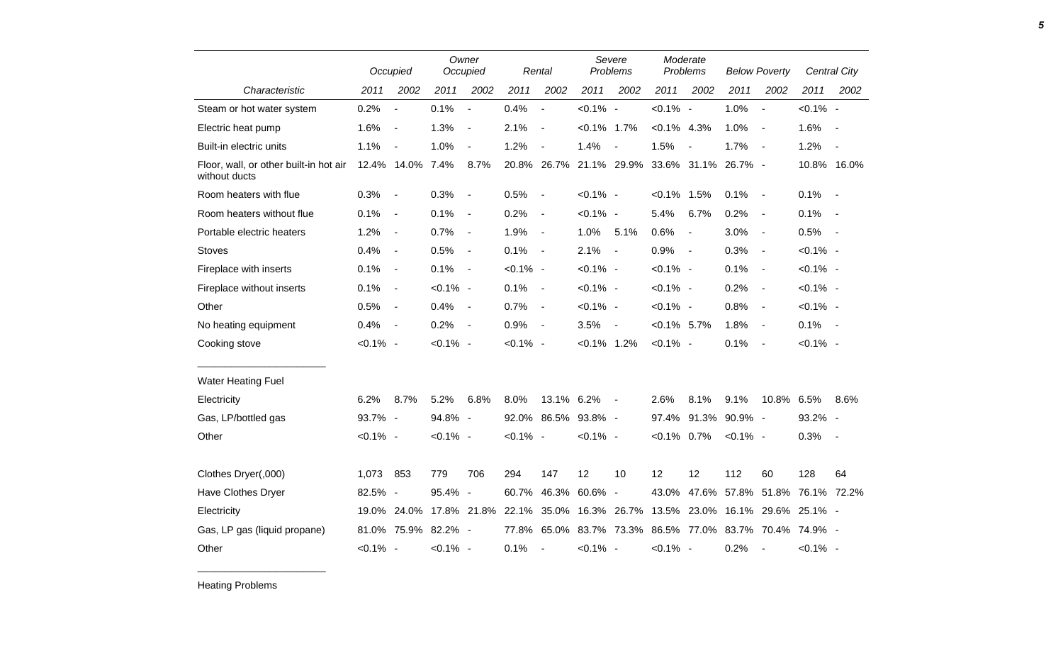|                                                         |             | Occupied                 | Owner<br>Occupied |                          |             | Rental                   | Severe<br>Problems |                          | Moderate<br>Problems |                          | <b>Below Poverty</b>            |                          |                     | Central City             |
|---------------------------------------------------------|-------------|--------------------------|-------------------|--------------------------|-------------|--------------------------|--------------------|--------------------------|----------------------|--------------------------|---------------------------------|--------------------------|---------------------|--------------------------|
| Characteristic                                          | 2011        | 2002                     | 2011              | 2002                     | 2011        | 2002                     | 2011               | 2002                     | 2011                 | 2002                     | 2011                            | 2002                     | 2011                | 2002                     |
| Steam or hot water system                               | 0.2%        | $\blacksquare$           | 0.1%              | $\blacksquare$           | 0.4%        | $\blacksquare$           | $< 0.1\%$ -        |                          | $< 0.1\%$ -          |                          | 1.0%                            | $\blacksquare$           | $< 0.1\%$ -         |                          |
| Electric heat pump                                      | 1.6%        | $\blacksquare$           | 1.3%              | $\overline{\phantom{a}}$ | 2.1%        | $\overline{\phantom{a}}$ | $< 0.1\%$ 1.7%     |                          | $< 0.1\%$ 4.3%       |                          | 1.0%                            | $\overline{\phantom{a}}$ | 1.6%                |                          |
| Built-in electric units                                 | 1.1%        | $\overline{\phantom{a}}$ | 1.0%              | $\overline{\phantom{a}}$ | 1.2%        | $\overline{\phantom{a}}$ | 1.4%               | $\overline{\phantom{a}}$ | 1.5%                 | $\overline{\phantom{a}}$ | 1.7%                            | $\sim$                   | 1.2%                | $\overline{\phantom{a}}$ |
| Floor, wall, or other built-in hot air<br>without ducts |             | 12.4% 14.0% 7.4%         |                   | 8.7%                     |             | 20.8% 26.7% 21.1% 29.9%  |                    |                          |                      |                          | 33.6% 31.1% 26.7% -             |                          |                     | 10.8% 16.0%              |
| Room heaters with flue                                  | 0.3%        | $\blacksquare$           | 0.3%              | $\blacksquare$           | 0.5%        | $\overline{\phantom{a}}$ | $< 0.1\%$ -        |                          | $< 0.1\%$ 1.5%       |                          | 0.1%                            | $\sim$                   | 0.1%                | $\sim$ $-$               |
| Room heaters without flue                               | 0.1%        | $\overline{\phantom{a}}$ | 0.1%              | $\overline{\phantom{a}}$ | 0.2%        | $\blacksquare$           | $< 0.1\%$ -        |                          | 5.4%                 | 6.7%                     | 0.2%                            | $\sim$                   | 0.1%                | $\sim$ $-$               |
| Portable electric heaters                               | 1.2%        | $\blacksquare$           | 0.7%              | $\overline{\phantom{a}}$ | 1.9%        | $\overline{\phantom{a}}$ | 1.0%               | 5.1%                     | 0.6%                 | $\overline{a}$           | 3.0%                            | $\overline{\phantom{a}}$ | 0.5%                | $\sim$                   |
| <b>Stoves</b>                                           | 0.4%        | $\overline{\phantom{a}}$ | 0.5%              | $\overline{\phantom{a}}$ | 0.1%        | $\blacksquare$           | 2.1%               | $\overline{\phantom{a}}$ | 0.9%                 | $\overline{\phantom{a}}$ | 0.3%                            | $\blacksquare$           | $< 0.1\%$ -         |                          |
| Fireplace with inserts                                  | 0.1%        | $\overline{\phantom{a}}$ | 0.1%              | $\blacksquare$           | $< 0.1\%$ - |                          | $< 0.1\%$ -        |                          | $< 0.1\%$ -          |                          | 0.1%                            | $\sim$                   | $< 0.1\%$ -         |                          |
| Fireplace without inserts                               | 0.1%        | $\overline{\phantom{a}}$ | $< 0.1\%$ -       |                          | 0.1%        | $\blacksquare$           | $< 0.1\%$ -        |                          | $< 0.1\%$ -          |                          | 0.2%                            | $\blacksquare$           | $< 0.1\%$ -         |                          |
| Other                                                   | 0.5%        | $\overline{\phantom{a}}$ | 0.4%              | $\overline{\phantom{a}}$ | 0.7%        | $\overline{\phantom{a}}$ | $< 0.1\%$ -        |                          | $< 0.1\%$ -          |                          | 0.8%                            | $\overline{\phantom{a}}$ | $< 0.1\%$ -         |                          |
| No heating equipment                                    | 0.4%        | $\blacksquare$           | 0.2%              | $\blacksquare$           | 0.9%        | $\blacksquare$           | 3.5%               | $\blacksquare$           | $< 0.1\%$ 5.7%       |                          | 1.8%                            | $\overline{\phantom{a}}$ | 0.1%                | $\sim$ $-$               |
| Cooking stove                                           | $< 0.1\%$ - |                          | $< 0.1\%$ -       |                          | $< 0.1\%$ - |                          | $< 0.1\%$ 1.2%     |                          | $< 0.1\%$ -          |                          | 0.1%                            | $\overline{\phantom{a}}$ | $< 0.1\%$ -         |                          |
| <b>Water Heating Fuel</b>                               |             |                          |                   |                          |             |                          |                    |                          |                      |                          |                                 |                          |                     |                          |
| Electricity                                             | 6.2%        | 8.7%                     | 5.2%              | 6.8%                     | 8.0%        | 13.1% 6.2%               |                    | $\blacksquare$           | 2.6%                 | 8.1%                     | 9.1%                            | 10.8% 6.5%               |                     | 8.6%                     |
| Gas, LP/bottled gas                                     | 93.7% -     |                          | 94.8% -           |                          |             | 92.0% 86.5% 93.8% -      |                    |                          | 97.4%                |                          | 91.3% 90.9% -                   |                          | 93.2% -             |                          |
| Other                                                   | $< 0.1\%$ - |                          | $< 0.1\%$ -       |                          | $< 0.1\%$ - |                          | $< 0.1\%$ -        |                          | $< 0.1\%$ 0.7%       |                          | $< 0.1\%$ -                     |                          | 0.3%                | $\sim$                   |
| Clothes Dryer(,000)                                     | 1,073       | 853                      | 779               | 706                      | 294         | 147                      | 12                 | 10                       | 12                   | 12                       | 112                             | 60                       | 128                 | 64                       |
| Have Clothes Dryer                                      | 82.5% -     |                          | 95.4%             | $\overline{\phantom{a}}$ | 60.7%       | 46.3%                    | 60.6% -            |                          | 43.0%                | 47.6%                    | 57.8%                           | 51.8%                    | 76.1% 72.2%         |                          |
| Electricity                                             | 19.0%       | 24.0%                    |                   | 17.8% 21.8%              | 22.1%       |                          | 35.0% 16.3%        | 26.7%                    | 13.5%                | 23.0%                    |                                 |                          | 16.1% 29.6% 25.1% - |                          |
| Gas, LP gas (liquid propane)                            |             | 81.0% 75.9% 82.2% -      |                   |                          | 77.8%       |                          |                    | 65.0% 83.7% 73.3%        |                      |                          | 86.5% 77.0% 83.7% 70.4% 74.9% - |                          |                     |                          |
| Other                                                   | $< 0.1\%$ - |                          | $< 0.1\%$ -       |                          | 0.1%        | $\overline{\phantom{a}}$ | $< 0.1\%$ -        |                          | $< 0.1\%$ -          |                          | 0.2%                            | $\blacksquare$           | $< 0.1\%$ -         |                          |

Heating Problems

\_\_\_\_\_\_\_\_\_\_\_\_\_\_\_\_\_\_\_\_\_\_\_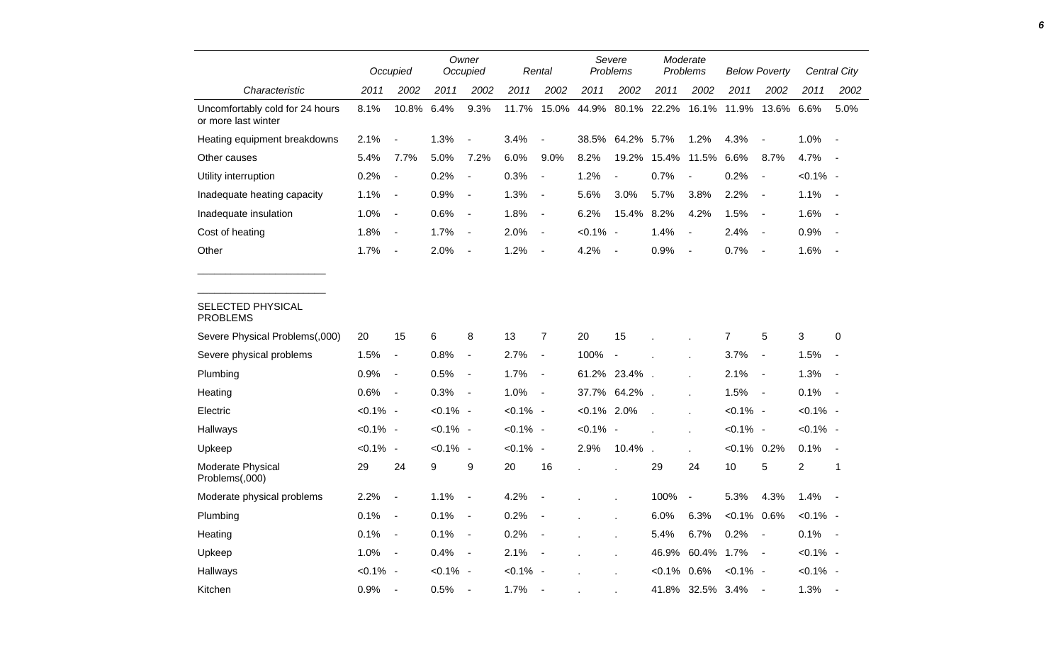|                                                        |             | Occupied                 |             | Owner<br>Occupied        |             | Rental                   | Severe<br><b>Problems</b> |                          | Moderate<br>Problems     |                          | <b>Below Poverty</b> |                          | Central City   |                          |
|--------------------------------------------------------|-------------|--------------------------|-------------|--------------------------|-------------|--------------------------|---------------------------|--------------------------|--------------------------|--------------------------|----------------------|--------------------------|----------------|--------------------------|
| Characteristic                                         | 2011        | 2002                     | 2011        | 2002                     | 2011        | 2002                     | 2011                      | 2002                     | 2011                     | 2002                     | 2011                 | 2002                     | 2011           | 2002                     |
| Uncomfortably cold for 24 hours<br>or more last winter | 8.1%        | 10.8%                    | 6.4%        | 9.3%                     | 11.7%       | 15.0%                    | 44.9%                     |                          | 80.1% 22.2%              | 16.1%                    | 11.9%                | 13.6% 6.6%               |                | 5.0%                     |
| Heating equipment breakdowns                           | 2.1%        | $\overline{\phantom{a}}$ | 1.3%        | $\overline{a}$           | 3.4%        |                          | 38.5%                     | 64.2%                    | 5.7%                     | 1.2%                     | 4.3%                 | $\blacksquare$           | 1.0%           | $\blacksquare$           |
| Other causes                                           | 5.4%        | 7.7%                     | 5.0%        | 7.2%                     | 6.0%        | 9.0%                     | 8.2%                      | 19.2%                    | 15.4%                    | 11.5%                    | 6.6%                 | 8.7%                     | 4.7%           |                          |
| Utility interruption                                   | 0.2%        | $\overline{\phantom{a}}$ | 0.2%        | $\overline{\phantom{a}}$ | 0.3%        | $\blacksquare$           | 1.2%                      | $\blacksquare$           | 0.7%                     | $\blacksquare$           | 0.2%                 | $\blacksquare$           | $< 0.1\%$ -    |                          |
| Inadequate heating capacity                            | 1.1%        | $\overline{\phantom{a}}$ | 0.9%        | $\blacksquare$           | 1.3%        | $\overline{\phantom{a}}$ | 5.6%                      | 3.0%                     | 5.7%                     | 3.8%                     | 2.2%                 | $\overline{a}$           | 1.1%           |                          |
| Inadequate insulation                                  | 1.0%        | $\overline{\phantom{a}}$ | 0.6%        | $\blacksquare$           | 1.8%        | $\overline{\phantom{a}}$ | 6.2%                      | 15.4%                    | 8.2%                     | 4.2%                     | 1.5%                 | $\blacksquare$           | 1.6%           |                          |
| Cost of heating                                        | 1.8%        | $\overline{\phantom{a}}$ | 1.7%        | $\blacksquare$           | 2.0%        | $\blacksquare$           | $< 0.1\%$ -               |                          | 1.4%                     | $\blacksquare$           | 2.4%                 | $\overline{\phantom{a}}$ | 0.9%           |                          |
| Other                                                  | 1.7%        | $\overline{\phantom{a}}$ | 2.0%        | $\overline{\phantom{a}}$ | 1.2%        | $\blacksquare$           | 4.2%                      | $\overline{\phantom{a}}$ | 0.9%                     | $\overline{\phantom{a}}$ | 0.7%                 | $\blacksquare$           | 1.6%           |                          |
| <b>SELECTED PHYSICAL</b><br><b>PROBLEMS</b>            |             |                          |             |                          |             |                          |                           |                          |                          |                          |                      |                          |                |                          |
| Severe Physical Problems(,000)                         | 20          | 15                       | 6           | 8                        | 13          | 7                        | 20                        | 15                       |                          |                          | 7                    | 5                        | 3              | 0                        |
| Severe physical problems                               | 1.5%        | $\overline{\phantom{a}}$ | 0.8%        | $\overline{\phantom{a}}$ | 2.7%        | $\blacksquare$           | 100%                      | $\overline{\phantom{a}}$ |                          |                          | 3.7%                 | $\blacksquare$           | 1.5%           | $\blacksquare$           |
| Plumbing                                               | 0.9%        | $\overline{\phantom{a}}$ | 0.5%        | $\blacksquare$           | 1.7%        | $\blacksquare$           |                           | 61.2% 23.4%              | $\overline{\phantom{a}}$ |                          | 2.1%                 | $\blacksquare$           | 1.3%           | $\blacksquare$           |
| Heating                                                | 0.6%        | $\overline{\phantom{a}}$ | 0.3%        | $\overline{\phantom{a}}$ | 1.0%        | $\overline{\phantom{a}}$ | 37.7%                     | 64.2%                    | $\sim$                   |                          | 1.5%                 | $\overline{\phantom{a}}$ | 0.1%           |                          |
| Electric                                               | $< 0.1\%$ - |                          | $< 0.1\%$ - |                          | $< 0.1\%$ - |                          | $< 0.1\%$                 | 2.0%                     |                          |                          | $< 0.1\%$ -          |                          | $< 0.1\%$ -    |                          |
| Hallways                                               | $< 0.1\%$ - |                          | $< 0.1\%$ - |                          | $< 0.1\%$ - |                          | $< 0.1\%$ -               |                          |                          | ÷.                       | $< 0.1\%$ -          |                          | $< 0.1\%$ -    |                          |
| Upkeep                                                 | $< 0.1\%$ - |                          | $< 0.1\%$ - |                          | $< 0.1\%$ - |                          | 2.9%                      | 10.4%                    | $\overline{a}$           | $\mathbf{r}$             | $< 0.1\%$ 0.2%       |                          | 0.1%           | $\overline{\phantom{a}}$ |
| Moderate Physical<br>Problems(,000)                    | 29          | 24                       | 9           | 9                        | 20          | 16                       |                           | t.                       | 29                       | 24                       | 10                   | 5                        | $\overline{c}$ | $\mathbf{1}$             |
| Moderate physical problems                             | 2.2%        | $\overline{\phantom{a}}$ | 1.1%        | $\blacksquare$           | 4.2%        | $\blacksquare$           |                           |                          | 100%                     | $\overline{\phantom{a}}$ | 5.3%                 | 4.3%                     | 1.4%           |                          |
| Plumbing                                               | 0.1%        | $\overline{\phantom{a}}$ | 0.1%        | $\overline{\phantom{a}}$ | 0.2%        | $\blacksquare$           |                           |                          | 6.0%                     | 6.3%                     | $< 0.1\%$            | 0.6%                     | $< 0.1\%$ -    |                          |
| Heating                                                | 0.1%        | $\blacksquare$           | 0.1%        | $\blacksquare$           | 0.2%        | $\blacksquare$           |                           | Ĭ.                       | 5.4%                     | 6.7%                     | 0.2%                 | $\overline{\phantom{a}}$ | 0.1%           | $\sim$                   |
| Upkeep                                                 | 1.0%        | $\overline{\phantom{a}}$ | 0.4%        | $\overline{\phantom{a}}$ | 2.1%        | $\blacksquare$           |                           |                          | 46.9%                    | 60.4%                    | 1.7%                 | $\overline{\phantom{a}}$ | $< 0.1\%$ -    |                          |
| Hallways                                               | $< 0.1\%$ - |                          | $< 0.1\%$ - |                          | $< 0.1\%$ - |                          |                           |                          | $< 0.1\%$                | 0.6%                     | $< 0.1\%$ -          |                          | $< 0.1\%$ -    |                          |
| Kitchen                                                | 0.9%        |                          | 0.5%        | $\overline{\phantom{a}}$ | 1.7%        |                          |                           |                          |                          | 41.8% 32.5% 3.4%         |                      |                          | 1.3%           |                          |

*6*